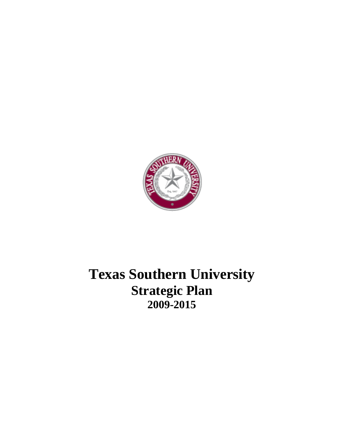

# **Texas Southern University Strategic Plan 2009-2015**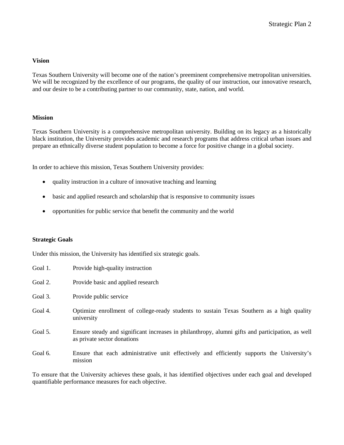#### **Vision**

Texas Southern University will become one of the nation's preeminent comprehensive metropolitan universities. We will be recognized by the excellence of our programs, the quality of our instruction, our innovative research, and our desire to be a contributing partner to our community, state, nation, and world.

#### **Mission**

Texas Southern University is a comprehensive metropolitan university. Building on its legacy as a historically black institution, the University provides academic and research programs that address critical urban issues and prepare an ethnically diverse student population to become a force for positive change in a global society.

In order to achieve this mission, Texas Southern University provides:

- quality instruction in a culture of innovative teaching and learning
- basic and applied research and scholarship that is responsive to community issues
- opportunities for public service that benefit the community and the world

#### **Strategic Goals**

Under this mission, the University has identified six strategic goals.

| Provide high-quality instruction |
|----------------------------------|
|                                  |

- Goal 2. Provide basic and applied research
- Goal 3. Provide public service
- Goal 4. Optimize enrollment of college-ready students to sustain Texas Southern as a high quality university
- Goal 5. Ensure steady and significant increases in philanthropy, alumni gifts and participation, as well as private sector donations
- Goal 6. Ensure that each administrative unit effectively and efficiently supports the University's mission

To ensure that the University achieves these goals, it has identified objectives under each goal and developed quantifiable performance measures for each objective.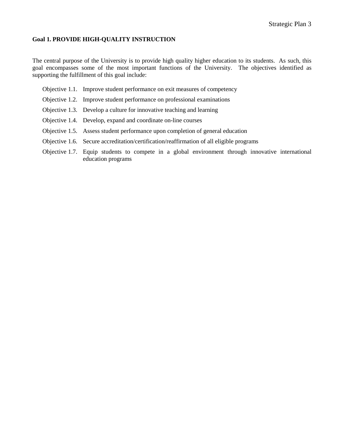#### **Goal 1. PROVIDE HIGH-QUALITY INSTRUCTION**

The central purpose of the University is to provide high quality higher education to its students. As such, this goal encompasses some of the most important functions of the University. The objectives identified as supporting the fulfillment of this goal include:

- Objective 1.1. Improve student performance on exit measures of competency
- Objective 1.2. Improve student performance on professional examinations
- Objective 1.3. Develop a culture for innovative teaching and learning
- Objective 1.4. Develop, expand and coordinate on-line courses
- Objective 1.5. Assess student performance upon completion of general education
- Objective 1.6. Secure accreditation/certification/reaffirmation of all eligible programs
- Objective 1.7. Equip students to compete in a global environment through innovative international education programs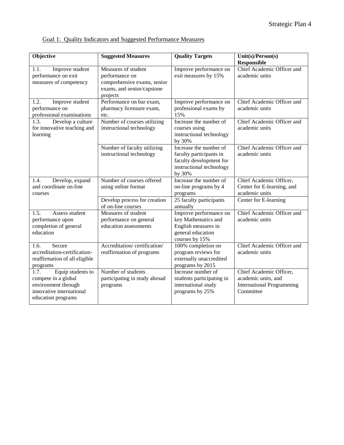| Objective                                                                                                                 | <b>Suggested Measures</b>                                                                               | <b>Quality Targets</b>                                                                                             | Unit(s)/Person(s)                                                                               |
|---------------------------------------------------------------------------------------------------------------------------|---------------------------------------------------------------------------------------------------------|--------------------------------------------------------------------------------------------------------------------|-------------------------------------------------------------------------------------------------|
| 1.1.<br>Improve student<br>performance on exit<br>measures of competency                                                  | Measures of student<br>performance on<br>comprehensive exams, senior<br>exams, and senior/capstone      | Improve performance on<br>exit measures by 15%                                                                     | Responsible<br>Chief Academic Officer and<br>academic units                                     |
| 1.2.<br>Improve student<br>performance on<br>professional examinations<br>Develop a culture<br>1.3.                       | projects<br>Performance on bar exam,<br>pharmacy licensure exam,<br>etc.<br>Number of courses utilizing | Improve performance on<br>professional exams by<br>15%<br>Increase the number of                                   | Chief Academic Officer and<br>academic units<br>Chief Academic Officer and                      |
| for innovative teaching and<br>learning                                                                                   | instructional technology                                                                                | courses using<br>instructional technology<br>by 30%                                                                | academic units                                                                                  |
|                                                                                                                           | Number of faculty utilizing<br>instructional technology                                                 | Increase the number of<br>faculty participants in<br>faculty development for<br>instructional technology<br>by 30% | Chief Academic Officer and<br>academic units                                                    |
| 1.4.<br>Develop, expand<br>and coordinate on-line<br>courses                                                              | Number of courses offered<br>using online format                                                        | Increase the number of<br>on-line programs by 4<br>programs                                                        | Chief Academic Officer,<br>Center for E-learning, and<br>academic units                         |
|                                                                                                                           | Develop process for creation<br>of on-line courses                                                      | 25 faculty participants<br>annually                                                                                | Center for E-learning                                                                           |
| 1.5.<br>Assess student<br>performance upon<br>completion of general<br>education                                          | Measures of student<br>performance on general<br>education assessments                                  | Improve performance on<br>key Mathematics and<br>English measures in<br>general education<br>courses by 15%        | Chief Academic Officer and<br>academic units                                                    |
| Secure<br>1.6.<br>accreditation-certification-<br>reaffirmation of all eligible<br>programs                               | Accreditation/certification/<br>reaffirmation of programs                                               | 100% completion on<br>program reviews for<br>externally unaccredited<br>programs by 2015                           | Chief Academic Officer and<br>academic units                                                    |
| Equip students to<br>1.7.<br>compete in a global<br>environment through<br>innovative international<br>education programs | Number of students<br>participating in study abroad<br>programs                                         | Increase number of<br>students participating in<br>international study<br>programs by 25%                          | Chief Academic Officer,<br>academic units, and<br><b>International Programming</b><br>Committee |

# Goal 1: Quality Indicators and Suggested Performance Measures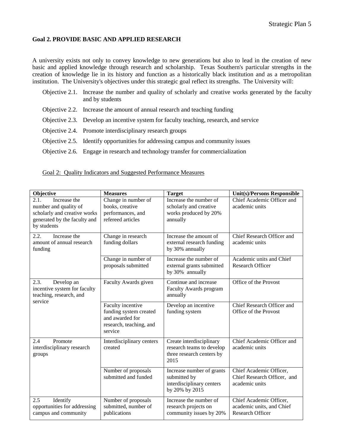#### **Goal 2. PROVIDE BASIC AND APPLIED RESEARCH**

A university exists not only to convey knowledge to new generations but also to lead in the creation of new basic and applied knowledge through research and scholarship. Texas Southern's particular strengths in the creation of knowledge lie in its history and function as a historically black institution and as a metropolitan institution. The University's objectives under this strategic goal reflect its strengths. The University will:

- Objective 2.1. Increase the number and quality of scholarly and creative works generated by the faculty and by students
- Objective 2.2. Increase the amount of annual research and teaching funding
- Objective 2.3. Develop an incentive system for faculty teaching, research, and service
- Objective 2.4. Promote interdisciplinary research groups
- Objective 2.5. Identify opportunities for addressing campus and community issues
- Objective 2.6. Engage in research and technology transfer for commercialization

| Objective                                                                                                                    | <b>Measures</b>                                                                                      | <b>Target</b>                                                                              | Unit(s)/Persons Responsible                                                     |
|------------------------------------------------------------------------------------------------------------------------------|------------------------------------------------------------------------------------------------------|--------------------------------------------------------------------------------------------|---------------------------------------------------------------------------------|
| 2.1.<br>Increase the<br>number and quality of<br>scholarly and creative works<br>generated by the faculty and<br>by students | Change in number of<br>books, creative<br>performances, and<br>refereed articles                     | Increase the number of<br>scholarly and creative<br>works produced by 20%<br>annually      | Chief Academic Officer and<br>academic units                                    |
| $\overline{2.2}$ .<br>Increase the<br>amount of annual research<br>funding                                                   | Change in research<br>funding dollars                                                                | Increase the amount of<br>external research funding<br>by 30% annually                     | Chief Research Officer and<br>academic units                                    |
|                                                                                                                              | Change in number of<br>proposals submitted                                                           | Increase the number of<br>external grants submitted<br>by 30% annually                     | Academic units and Chief<br><b>Research Officer</b>                             |
| 2.3.<br>Develop an<br>incentive system for faculty<br>teaching, research, and                                                | Faculty Awards given                                                                                 | Continue and increase<br>Faculty Awards program<br>annually                                | Office of the Provost                                                           |
| service                                                                                                                      | Faculty incentive<br>funding system created<br>and awarded for<br>research, teaching, and<br>service | Develop an incentive<br>funding system                                                     | Chief Research Officer and<br>Office of the Provost                             |
| 2.4<br>Promote<br>interdisciplinary research<br>groups                                                                       | Interdisciplinary centers<br>created                                                                 | Create interdisciplinary<br>research teams to develop<br>three research centers by<br>2015 | Chief Academic Officer and<br>academic units                                    |
|                                                                                                                              | Number of proposals<br>submitted and funded                                                          | Increase number of grants<br>submitted by<br>interdisciplinary centers<br>by 20% by 2015   | Chief Academic Officer,<br>Chief Research Officer, and<br>academic units        |
| Identify<br>2.5<br>opportunities for addressing<br>campus and community                                                      | Number of proposals<br>submitted, number of<br>publications                                          | Increase the number of<br>research projects on<br>community issues by 20%                  | Chief Academic Officer,<br>academic units, and Chief<br><b>Research Officer</b> |

#### Goal 2: Quality Indicators and Suggested Performance Measures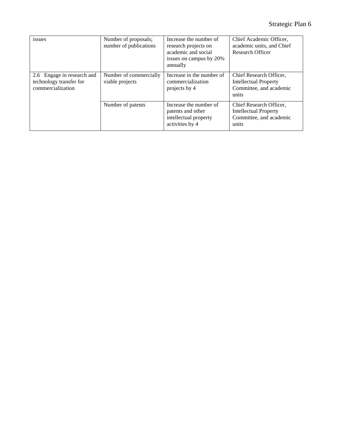| issues                                                                     | Number of proposals;<br>number of publications | Increase the number of<br>research projects on<br>academic and social<br>issues on campus by 20%<br>annually | Chief Academic Officer,<br>academic units, and Chief<br>Research Officer                    |
|----------------------------------------------------------------------------|------------------------------------------------|--------------------------------------------------------------------------------------------------------------|---------------------------------------------------------------------------------------------|
| 2.6 Engage in research and<br>technology transfer for<br>commercialization | Number of commercially<br>viable projects      | Increase in the number of<br>commercialization<br>projects by 4                                              | Chief Research Officer,<br><b>Intellectual Property</b><br>Committee, and academic<br>units |
|                                                                            | Number of patents                              | Increase the number of<br>patents and other<br>intellectual property<br>activities by 4                      | Chief Research Officer,<br><b>Intellectual Property</b><br>Committee, and academic<br>units |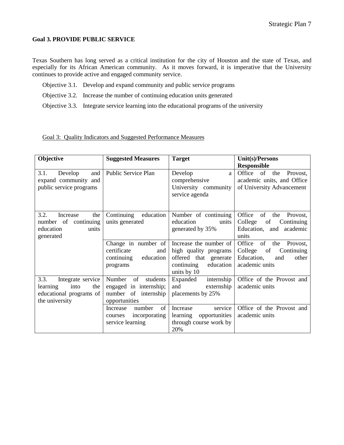#### **Goal 3. PROVIDE PUBLIC SERVICE**

Texas Southern has long served as a critical institution for the city of Houston and the state of Texas, and especially for its African American community. As it moves forward, it is imperative that the University continues to provide active and engaged community service.

- Objective 3.1. Develop and expand community and public service programs
- Objective 3.2. Increase the number of continuing education units generated
- Objective 3.3. Integrate service learning into the educational programs of the university

|  | Goal 3: Quality Indicators and Suggested Performance Measures |  |
|--|---------------------------------------------------------------|--|
|  |                                                               |  |

| Objective                                                                                         | <b>Suggested Measures</b>                                                                   | <b>Target</b>                                                                                                      | Unit(s)/Persons                                                                                                |
|---------------------------------------------------------------------------------------------------|---------------------------------------------------------------------------------------------|--------------------------------------------------------------------------------------------------------------------|----------------------------------------------------------------------------------------------------------------|
|                                                                                                   |                                                                                             |                                                                                                                    | <b>Responsible</b>                                                                                             |
| 3.1.<br>Develop<br>and<br>expand community and<br>public service programs                         | Public Service Plan                                                                         | Develop<br>a<br>comprehensive<br>University community<br>service agenda                                            | Office of<br>Provost,<br>the<br>academic units, and Office<br>of University Advancement                        |
| 3.2.<br>the<br>Increase<br>continuing<br>number of<br>education<br>units<br>generated             | Continuing<br>education<br>units generated                                                  | Number of continuing<br>education<br>units<br>generated by 35%                                                     | Office<br>of<br>the<br>Provost,<br>College<br>of<br>Continuing<br>Education, and academic<br>units             |
|                                                                                                   | Change in number of<br>certificate<br>and<br>education<br>continuing<br>programs            | Increase the number of<br>high quality programs<br>offered that generate<br>continuing<br>education<br>units by 10 | of<br>Office<br>the<br>Provost,<br>College<br>of<br>Continuing<br>Education,<br>other<br>and<br>academic units |
| 3.3.<br>Integrate service<br>into<br>learning<br>the<br>educational programs of<br>the university | of<br>Number<br>students<br>engaged in internship;<br>number of internship<br>opportunities | internship<br>Expanded<br>and<br>externship<br>placements by 25%                                                   | Office of the Provost and<br>academic units                                                                    |
|                                                                                                   | number<br>of<br>Increase<br>incorporating<br>courses<br>service learning                    | service<br>Increase<br>learning<br>opportunities<br>through course work by<br>20%                                  | Office of the Provost and<br>academic units                                                                    |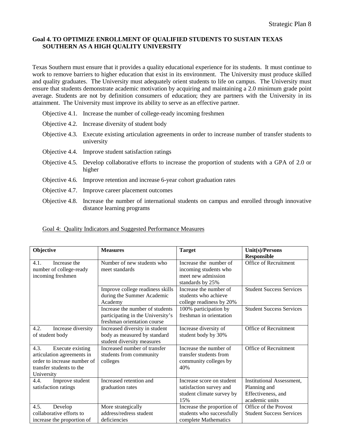## **Goal 4. TO OPTIMIZE ENROLLMENT OF QUALIFIED STUDENTS TO SUSTAIN TEXAS SOUTHERN AS A HIGH QUALITY UNIVERSITY**

Texas Southern must ensure that it provides a quality educational experience for its students. It must continue to work to remove barriers to higher education that exist in its environment. The University must produce skilled and quality graduates. The University must adequately orient students to life on campus. The University must ensure that students demonstrate academic motivation by acquiring and maintaining a 2.0 minimum grade point average. Students are not by definition consumers of education; they are partners with the University in its attainment. The University must improve its ability to serve as an effective partner.

- Objective 4.1. Increase the number of college-ready incoming freshmen
- Objective 4.2. Increase diversity of student body
- Objective 4.3. Execute existing articulation agreements in order to increase number of transfer students to university
- Objective 4.4. Improve student satisfaction ratings
- Objective 4.5. Develop collaborative efforts to increase the proportion of students with a GPA of 2.0 or higher
- Objective 4.6. Improve retention and increase 6-year cohort graduation rates
- Objective 4.7. Improve career placement outcomes
- Objective 4.8. Increase the number of international students on campus and enrolled through innovative distance learning programs

|  |  | Goal 4: Quality Indicators and Suggested Performance Measures |  |
|--|--|---------------------------------------------------------------|--|
|  |  |                                                               |  |

| Objective                   | <b>Measures</b>                   | <b>Target</b>              | Unit(s)/Persons                 |
|-----------------------------|-----------------------------------|----------------------------|---------------------------------|
|                             |                                   |                            | <b>Responsible</b>              |
| Increase the<br>4.1.        | Number of new students who        | Increase the number of     | Office of Recruitment           |
| number of college-ready     | meet standards                    | incoming students who      |                                 |
| incoming freshmen           |                                   | meet new admission         |                                 |
|                             |                                   | standards by 25%           |                                 |
|                             | Improve college readiness skills  | Increase the number of     | <b>Student Success Services</b> |
|                             | during the Summer Academic        | students who achieve       |                                 |
|                             | Academy                           | college readiness by 20%   |                                 |
|                             | Increase the number of students   | 100% participation by      | <b>Student Success Services</b> |
|                             | participating in the University's | freshman in orientation    |                                 |
|                             | freshman orientation course       |                            |                                 |
| 4.2.<br>Increase diversity  | Increased diversity in student    | Increase diversity of      | Office of Recruitment           |
| of student body             | body as measured by standard      | student body by 30%        |                                 |
|                             | student diversity measures        |                            |                                 |
| 4.3.<br>Execute existing    | Increased number of transfer      | Increase the number of     | Office of Recruitment           |
| articulation agreements in  | students from community           | transfer students from     |                                 |
| order to increase number of | colleges                          | community colleges by      |                                 |
| transfer students to the    |                                   | 40%                        |                                 |
| University                  |                                   |                            |                                 |
| Improve student<br>4.4.     | Increased retention and           | Increase score on student  | Institutional Assessment,       |
| satisfaction ratings        | graduation rates                  | satisfaction survey and    | Planning and                    |
|                             |                                   | student climate survey by  | Effectiveness, and              |
|                             |                                   | 15%                        | academic units                  |
| 4.5.<br>Develop             | More strategically                | Increase the proportion of | Office of the Provost           |
| collaborative efforts to    | address/redress student           | students who successfully  | <b>Student Success Services</b> |
| increase the proportion of  | deficiencies                      | complete Mathematics       |                                 |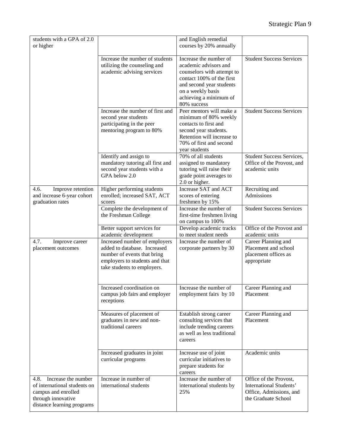| students with a GPA of 2.0<br>or higher                                                                                                |                                                                                                                                                               | and English remedial<br>courses by 20% annually                                                                                                                                                      |                                                                                                     |
|----------------------------------------------------------------------------------------------------------------------------------------|---------------------------------------------------------------------------------------------------------------------------------------------------------------|------------------------------------------------------------------------------------------------------------------------------------------------------------------------------------------------------|-----------------------------------------------------------------------------------------------------|
|                                                                                                                                        | Increase the number of students<br>utilizing the counseling and<br>academic advising services                                                                 | Increase the number of<br>academic advisors and<br>counselors with attempt to<br>contact 100% of the first<br>and second year students<br>on a weekly basis<br>achieving a minimum of<br>80% success | <b>Student Success Services</b>                                                                     |
|                                                                                                                                        | Increase the number of first and<br>second year students<br>participating in the peer<br>mentoring program to 80%                                             | Peer mentors will make a<br>minimum of 80% weekly<br>contacts to first and<br>second year students.<br>Retention will increase to<br>70% of first and second<br>year students                        | <b>Student Success Services</b>                                                                     |
|                                                                                                                                        | Identify and assign to<br>mandatory tutoring all first and<br>second year students with a<br>GPA below 2.0                                                    | 70% of all students<br>assigned to mandatory<br>tutoring will raise their<br>grade point averages to<br>2.0 or higher.                                                                               | <b>Student Success Services,</b><br>Office of the Provost, and<br>academic units                    |
| 4.6.<br>Improve retention<br>and increase 6-year cohort<br>graduation rates                                                            | Higher performing students<br>enrolled; increased SAT, ACT<br>scores                                                                                          | Increase SAT and ACT<br>scores of entering<br>freshmen by 15%                                                                                                                                        | Recruiting and<br>Admissions                                                                        |
|                                                                                                                                        | Complete the development of<br>the Freshman College                                                                                                           | Increase the number of<br>first-time freshmen living<br>on campus to 100%                                                                                                                            | <b>Student Success Services</b>                                                                     |
|                                                                                                                                        | Better support services for<br>academic development                                                                                                           | Develop academic tracks<br>to meet student needs                                                                                                                                                     | Office of the Provost and<br>academic units                                                         |
| 4.7.<br>Improve career<br>placement outcomes                                                                                           | Increased number of employers<br>added to database. Increased<br>number of events that bring<br>employers to students and that<br>take students to employers. | Increase the number of<br>corporate partners by 30                                                                                                                                                   | Career Planning and<br>Placement and school<br>placement offices as<br>appropriate                  |
|                                                                                                                                        | Increased coordination on<br>campus job fairs and employer<br>receptions                                                                                      | Increase the number of<br>employment fairs by 10                                                                                                                                                     | Career Planning and<br>Placement                                                                    |
|                                                                                                                                        | Measures of placement of<br>graduates in new and non-<br>traditional careers                                                                                  | Establish strong career<br>consulting services that<br>include trending careers<br>as well as less traditional<br>careers                                                                            | Career Planning and<br>Placement                                                                    |
|                                                                                                                                        | Increased graduates in joint<br>curricular programs                                                                                                           | Increase use of joint<br>curricular initiatives to<br>prepare students for<br>careers                                                                                                                | Academic units                                                                                      |
| Increase the number<br>4.8.<br>of international students on<br>campus and enrolled<br>through innovative<br>distance learning programs | Increase in number of<br>international students                                                                                                               | Increase the number of<br>international students by<br>25%                                                                                                                                           | Office of the Provost,<br>International Students'<br>Office, Admissions, and<br>the Graduate School |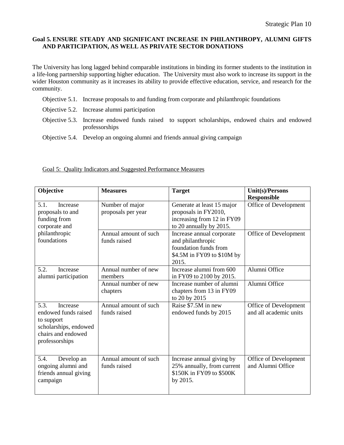### **Goal 5. ENSURE STEADY AND SIGNIFICANT INCREASE IN PHILANTHROPY, ALUMNI GIFTS AND PARTICIPATION, AS WELL AS PRIVATE SECTOR DONATIONS**

The University has long lagged behind comparable institutions in binding its former students to the institution in a life-long partnership supporting higher education. The University must also work to increase its support in the wider Houston community as it increases its ability to provide effective education, service, and research for the community.

- Objective 5.1. Increase proposals to and funding from corporate and philanthropic foundations
- Objective 5.2. Increase alumni participation
- Objective 5.3. Increase endowed funds raised to support scholarships, endowed chairs and endowed professorships
- Objective 5.4. Develop an ongoing alumni and friends annual giving campaign

| Objective                                                                                                               | <b>Measures</b>                       | <b>Target</b>                                                                                                  | Unit(s)/Persons                                 |
|-------------------------------------------------------------------------------------------------------------------------|---------------------------------------|----------------------------------------------------------------------------------------------------------------|-------------------------------------------------|
| 5.1.<br>Increase<br>proposals to and<br>funding from<br>corporate and                                                   | Number of major<br>proposals per year | Generate at least 15 major<br>proposals in FY2010,<br>increasing from 12 in FY09<br>to 20 annually by 2015.    | <b>Responsible</b><br>Office of Development     |
| philanthropic<br>foundations                                                                                            | Annual amount of such<br>funds raised | Increase annual corporate<br>and philanthropic<br>foundation funds from<br>\$4.5M in FY09 to \$10M by<br>2015. | Office of Development                           |
| 5.2.<br>Increase<br>alumni participation                                                                                | Annual number of new<br>members       | Increase alumni from 600<br>in FY09 to 2100 by 2015.                                                           | Alumni Office                                   |
|                                                                                                                         | Annual number of new<br>chapters      | Increase number of alumni<br>chapters from 13 in FY09<br>to 20 by 2015                                         | Alumni Office                                   |
| 5.3.<br>Increase<br>endowed funds raised<br>to support<br>scholarships, endowed<br>chairs and endowed<br>professorships | Annual amount of such<br>funds raised | Raise \$7.5M in new<br>endowed funds by 2015                                                                   | Office of Development<br>and all academic units |
| 5.4.<br>Develop an<br>ongoing alumni and<br>friends annual giving<br>campaign                                           | Annual amount of such<br>funds raised | Increase annual giving by<br>25% annually, from current<br>\$150K in FY09 to \$500K<br>by 2015.                | Office of Development<br>and Alumni Office      |

#### Goal 5: Quality Indicators and Suggested Performance Measures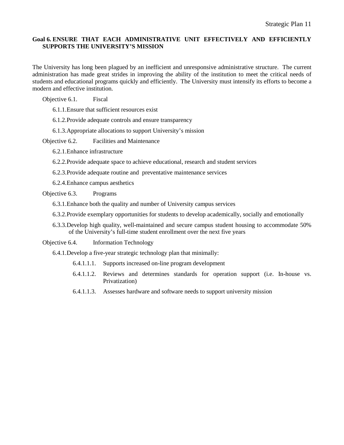## **Goal 6. ENSURE THAT EACH ADMINISTRATIVE UNIT EFFECTIVELY AND EFFICIENTLY SUPPORTS THE UNIVERSITY'S MISSION**

The University has long been plagued by an inefficient and unresponsive administrative structure. The current administration has made great strides in improving the ability of the institution to meet the critical needs of students and educational programs quickly and efficiently. The University must intensify its efforts to become a modern and effective institution.

Objective 6.1. Fiscal

6.1.1.Ensure that sufficient resources exist

6.1.2.Provide adequate controls and ensure transparency

6.1.3.Appropriate allocations to support University's mission

Objective 6.2. Facilities and Maintenance

6.2.1.Enhance infrastructure

6.2.2.Provide adequate space to achieve educational, research and student services

6.2.3.Provide adequate routine and preventative maintenance services

6.2.4.Enhance campus aesthetics

Objective 6.3. Programs

- 6.3.1.Enhance both the quality and number of University campus services
- 6.3.2.Provide exemplary opportunities for students to develop academically, socially and emotionally
- 6.3.3.Develop high quality, well-maintained and secure campus student housing to accommodate 50% of the University's full-time student enrollment over the next five years

Objective 6.4. Information Technology

6.4.1.Develop a five-year strategic technology plan that minimally:

- 6.4.1.1.1. Supports increased on-line program development
- 6.4.1.1.2. Reviews and determines standards for operation support (i.e. In-house vs. Privatization)
- 6.4.1.1.3. Assesses hardware and software needs to support university mission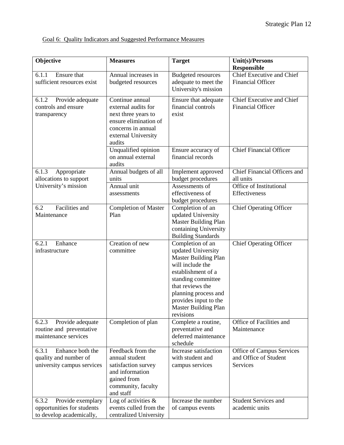# Goal 6: Quality Indicators and Suggested Performance Measures

| Objective                                                                            | <b>Measures</b>                                                                                                                               | <b>Target</b>                                                                                                                                                                                                                                          | Unit(s)/Persons<br><b>Responsible</b>                          |
|--------------------------------------------------------------------------------------|-----------------------------------------------------------------------------------------------------------------------------------------------|--------------------------------------------------------------------------------------------------------------------------------------------------------------------------------------------------------------------------------------------------------|----------------------------------------------------------------|
| Ensure that<br>6.1.1<br>sufficient resources exist                                   | Annual increases in<br>budgeted resources                                                                                                     | <b>Budgeted resources</b><br>adequate to meet the<br>University's mission                                                                                                                                                                              | Chief Executive and Chief<br><b>Financial Officer</b>          |
| Provide adequate<br>6.1.2<br>controls and ensure<br>transparency                     | Continue annual<br>external audits for<br>next three years to<br>ensure elimination of<br>concerns in annual<br>external University<br>audits | Ensure that adequate<br>financial controls<br>exist                                                                                                                                                                                                    | Chief Executive and Chief<br><b>Financial Officer</b>          |
|                                                                                      | Unqualified opinion<br>on annual external<br>audits                                                                                           | Ensure accuracy of<br>financial records                                                                                                                                                                                                                | <b>Chief Financial Officer</b>                                 |
| 6.1.3<br>Appropriate<br>allocations to support                                       | Annual budgets of all<br>units                                                                                                                | Implement approved<br>budget procedures                                                                                                                                                                                                                | Chief Financial Officers and<br>all units                      |
| University's mission                                                                 | Annual unit<br>assessments                                                                                                                    | Assessments of<br>effectiveness of<br>budget procedures                                                                                                                                                                                                | Office of Institutional<br>Effectiveness                       |
| Facilities and<br>6.2<br>Maintenance                                                 | <b>Completion of Master</b><br>Plan                                                                                                           | Completion of an<br>updated University<br><b>Master Building Plan</b><br>containing University<br><b>Building Standards</b>                                                                                                                            | <b>Chief Operating Officer</b>                                 |
| Enhance<br>6.2.1<br>infrastructure                                                   | Creation of new<br>committee                                                                                                                  | Completion of an<br>updated University<br><b>Master Building Plan</b><br>will include the<br>establishment of a<br>standing committee<br>that reviews the<br>planning process and<br>provides input to the<br><b>Master Building Plan</b><br>revisions | <b>Chief Operating Officer</b>                                 |
| Provide adequate<br>6.2.3<br>routine and preventative<br>maintenance services        | Completion of plan                                                                                                                            | Complete a routine,<br>preventative and<br>deferred maintenance<br>schedule                                                                                                                                                                            | Office of Facilities and<br>Maintenance                        |
| 6.3.1<br>Enhance both the<br>quality and number of<br>university campus services     | Feedback from the<br>annual student<br>satisfaction survey<br>and information<br>gained from<br>community, faculty<br>and staff               | Increase satisfaction<br>with student and<br>campus services                                                                                                                                                                                           | Office of Campus Services<br>and Office of Student<br>Services |
| 6.3.2<br>Provide exemplary<br>opportunities for students<br>to develop academically, | Log of activities $\&$<br>events culled from the<br>centralized University                                                                    | Increase the number<br>of campus events                                                                                                                                                                                                                | <b>Student Services and</b><br>academic units                  |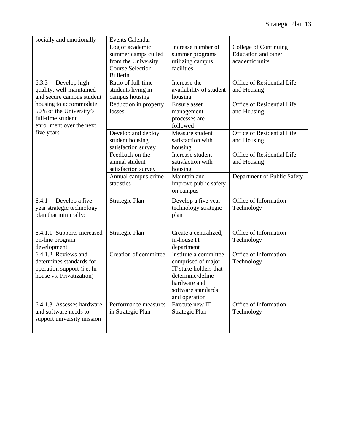| socially and emotionally                                                                                   | <b>Events Calendar</b>                                                                                      |                                                                                                                                                 |                                                                |
|------------------------------------------------------------------------------------------------------------|-------------------------------------------------------------------------------------------------------------|-------------------------------------------------------------------------------------------------------------------------------------------------|----------------------------------------------------------------|
|                                                                                                            | Log of academic<br>summer camps culled<br>from the University<br><b>Course Selection</b><br><b>Bulletin</b> | Increase number of<br>summer programs<br>utilizing campus<br>facilities                                                                         | College of Continuing<br>Education and other<br>academic units |
| 6.3.3<br>Develop high<br>quality, well-maintained<br>and secure campus student                             | Ratio of full-time<br>students living in<br>campus housing                                                  | Increase the<br>availability of student<br>housing                                                                                              | Office of Residential Life<br>and Housing                      |
| housing to accommodate<br>50% of the University's<br>full-time student<br>enrollment over the next         | Reduction in property<br>losses                                                                             | Ensure asset<br>management<br>processes are<br>followed                                                                                         | Office of Residential Life<br>and Housing                      |
| five years                                                                                                 | Develop and deploy<br>student housing<br>satisfaction survey                                                | Measure student<br>satisfaction with<br>housing                                                                                                 | Office of Residential Life<br>and Housing                      |
|                                                                                                            | Feedback on the<br>annual student<br>satisfaction survey                                                    | Increase student<br>satisfaction with<br>housing                                                                                                | Office of Residential Life<br>and Housing                      |
|                                                                                                            | Annual campus crime<br>statistics                                                                           | Maintain and<br>improve public safety<br>on campus                                                                                              | Department of Public Safety                                    |
| Develop a five-<br>6.4.1<br>year strategic technology<br>plan that minimally:                              | Strategic Plan                                                                                              | Develop a five year<br>technology strategic<br>plan                                                                                             | Office of Information<br>Technology                            |
| 6.4.1.1 Supports increased<br>on-line program<br>development                                               | Strategic Plan                                                                                              | Create a centralized,<br>in-house IT<br>department                                                                                              | Office of Information<br>Technology                            |
| 6.4.1.2 Reviews and<br>determines standards for<br>operation support (i.e. In-<br>house vs. Privatization) | Creation of committee                                                                                       | Institute a committee<br>comprised of major<br>IT stake holders that<br>determine/define<br>hardware and<br>software standards<br>and operation | Office of Information<br>Technology                            |
| 6.4.1.3 Assesses hardware<br>and software needs to<br>support university mission                           | Performance measures<br>in Strategic Plan                                                                   | Execute new IT<br>Strategic Plan                                                                                                                | Office of Information<br>Technology                            |